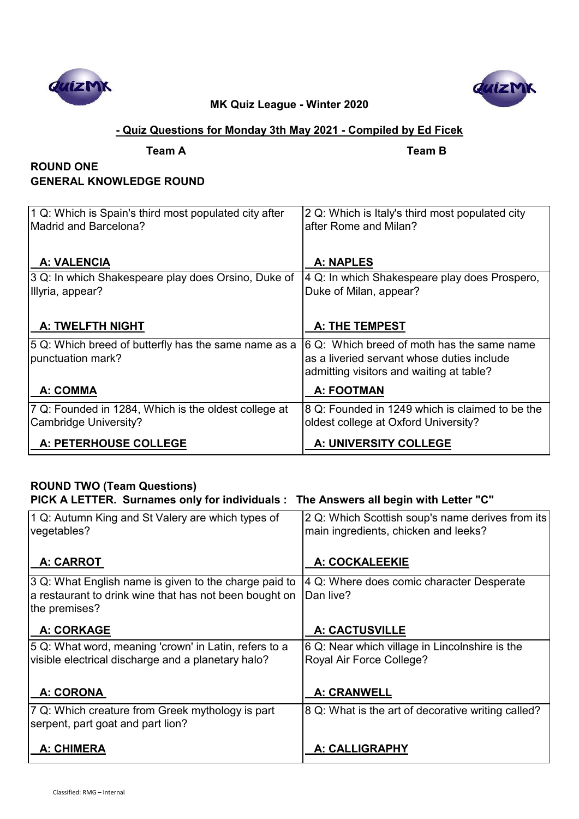



### **- Quiz Questions for Monday 3th May 2021 - Compiled by Ed Ficek**

**Team A Team B**

# **ROUND ONE GENERAL KNOWLEDGE ROUND**

| 1 Q: Which is Spain's third most populated city after<br>Madrid and Barcelona? | 2 Q: Which is Italy's third most populated city<br>after Rome and Milan?                                                             |
|--------------------------------------------------------------------------------|--------------------------------------------------------------------------------------------------------------------------------------|
| <b>A: VALENCIA</b>                                                             | <b>A: NAPLES</b>                                                                                                                     |
| 3 Q: In which Shakespeare play does Orsino, Duke of<br>Illyria, appear?        | 4 Q: In which Shakespeare play does Prospero,<br>Duke of Milan, appear?                                                              |
| <b>A: TWELFTH NIGHT</b>                                                        | <b>A: THE TEMPEST</b>                                                                                                                |
| 5 Q: Which breed of butterfly has the same name as a<br>punctuation mark?      | 6 Q: Which breed of moth has the same name<br>as a liveried servant whose duties include<br>admitting visitors and waiting at table? |
| A: COMMA                                                                       | <b>A: FOOTMAN</b>                                                                                                                    |
| 7 Q: Founded in 1284, Which is the oldest college at<br>Cambridge University?  | 8 Q: Founded in 1249 which is claimed to be the<br>oldest college at Oxford University?                                              |
| A: PETERHOUSE COLLEGE                                                          | A: UNIVERSITY COLLEGE                                                                                                                |

# **ROUND TWO (Team Questions)**

| PICK A LETTER. Surnames only for individuals : The Answers all begin with Letter "C"                                             |                                                                                          |  |
|----------------------------------------------------------------------------------------------------------------------------------|------------------------------------------------------------------------------------------|--|
| 1 Q: Autumn King and St Valery are which types of<br>vegetables?                                                                 | 2 Q: Which Scottish soup's name derives from its<br>main ingredients, chicken and leeks? |  |
| A: CARROT                                                                                                                        | A: COCKALEEKIE                                                                           |  |
| 3 Q: What English name is given to the charge paid to<br>a restaurant to drink wine that has not been bought on<br>the premises? | 4 Q: Where does comic character Desperate<br>Dan live?                                   |  |
| <b>A: CORKAGE</b>                                                                                                                | <b>A: CACTUSVILLE</b>                                                                    |  |
| 5 Q: What word, meaning 'crown' in Latin, refers to a<br>visible electrical discharge and a planetary halo?                      | 6 Q: Near which village in Lincolnshire is the<br>Royal Air Force College?               |  |
| <b>A: CORONA</b>                                                                                                                 | <b>A: CRANWELL</b>                                                                       |  |
| 7 Q: Which creature from Greek mythology is part<br>serpent, part goat and part lion?                                            | 8 Q: What is the art of decorative writing called?                                       |  |
| <b>A: CHIMERA</b>                                                                                                                | <b>A: CALLIGRAPHY</b>                                                                    |  |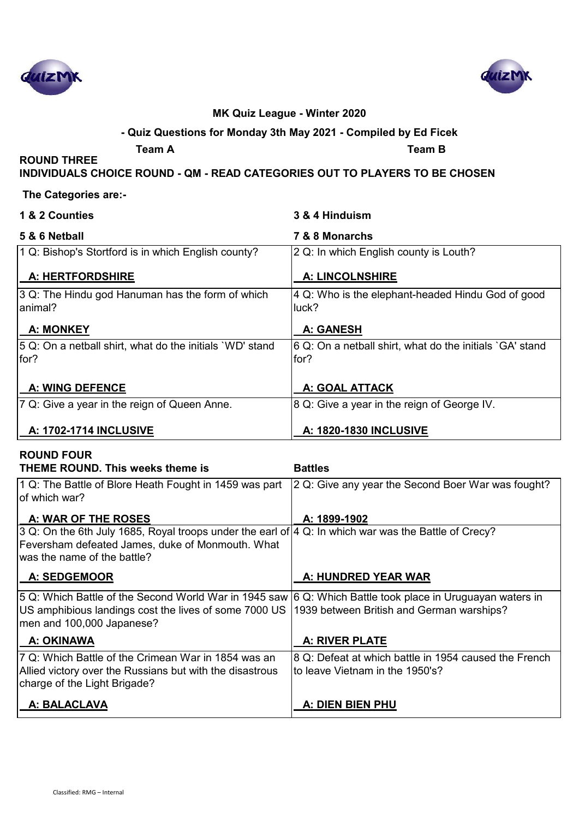



#### **- Quiz Questions for Monday 3th May 2021 - Compiled by Ed Ficek**

**ROUND THREE** 

**Team A Team B**

**INDIVIDUALS CHOICE ROUND - QM - READ CATEGORIES OUT TO PLAYERS TO BE CHOSEN**

### **The Categories are:-**

| 1 & 2 Counties                                                    | 3 & 4 Hinduism                                                   |
|-------------------------------------------------------------------|------------------------------------------------------------------|
| 5 & 6 Netball                                                     | 7 & 8 Monarchs                                                   |
| 1 Q: Bishop's Stortford is in which English county?               | 2 Q: In which English county is Louth?                           |
| A: HERTFORDSHIRE                                                  | <b>A: LINCOLNSHIRE</b>                                           |
| 3 Q: The Hindu god Hanuman has the form of which<br>animal?       | 4 Q: Who is the elephant-headed Hindu God of good<br>luck?       |
| <b>A: MONKEY</b>                                                  | <b>A: GANESH</b>                                                 |
| 5 Q: On a netball shirt, what do the initials `WD' stand<br>lfor? | 6 Q: On a netball shirt, what do the initials `GA' stand<br>for? |
| <b>A: WING DEFENCE</b>                                            | <b>A: GOAL ATTACK</b>                                            |
| 7 Q: Give a year in the reign of Queen Anne.                      | 8 Q: Give a year in the reign of George IV.                      |
| <b>A: 1702-1714 INCLUSIVE</b>                                     | A: 1820-1830 INCLUSIVE                                           |

### **ROUND FOUR THEME ROUND. This weeks theme is Battles** 1 Q: The Battle of Blore Heath Fought in 1459 was part of which war? 2 Q: Give any year the Second Boer War was fought?

| <b>A: WAR OF THE ROSES</b>                                                                                                                                                                                                                | A: 1899-1902                                          |
|-------------------------------------------------------------------------------------------------------------------------------------------------------------------------------------------------------------------------------------------|-------------------------------------------------------|
| 3 Q: On the 6th July 1685, Royal troops under the earl of $ 4 \text{ Q}$ : In which war was the Battle of Crecy?                                                                                                                          |                                                       |
| Feversham defeated James, duke of Monmouth. What                                                                                                                                                                                          |                                                       |
| was the name of the battle?                                                                                                                                                                                                               |                                                       |
| <b>A: SEDGEMOOR</b>                                                                                                                                                                                                                       | A: HUNDRED YEAR WAR                                   |
| 5 Q: Which Battle of the Second World War in 1945 saw 6 Q: Which Battle took place in Uruguayan waters in<br>US amphibious landings cost the lives of some 7000 US 1939 between British and German warships?<br>men and 100,000 Japanese? |                                                       |
| A: OKINAWA                                                                                                                                                                                                                                | <b>A: RIVER PLATE</b>                                 |
| 7 Q: Which Battle of the Crimean War in 1854 was an                                                                                                                                                                                       | 8 Q: Defeat at which battle in 1954 caused the French |
| Allied victory over the Russians but with the disastrous                                                                                                                                                                                  | to leave Vietnam in the 1950's?                       |
| charge of the Light Brigade?                                                                                                                                                                                                              |                                                       |
| A: BALACLAVA                                                                                                                                                                                                                              | A: DIEN BIEN PHU                                      |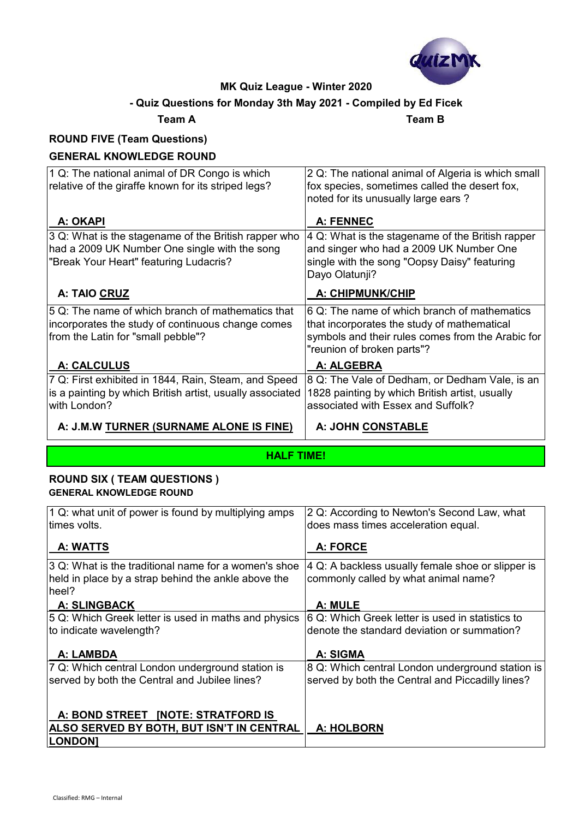

# **- Quiz Questions for Monday 3th May 2021 - Compiled by Ed Ficek**

**Team A Team B**

# **ROUND FIVE (Team Questions)**

### **GENERAL KNOWLEDGE ROUND**

| 1 Q: The national animal of DR Congo is which             | 2 Q: The national animal of Algeria is which small |
|-----------------------------------------------------------|----------------------------------------------------|
| relative of the giraffe known for its striped legs?       | fox species, sometimes called the desert fox,      |
|                                                           | noted for its unusually large ears?                |
|                                                           |                                                    |
| A: OKAPI                                                  | A: FENNEC                                          |
| 3 Q: What is the stagename of the British rapper who      | 4 Q: What is the stagename of the British rapper   |
| had a 2009 UK Number One single with the song             | and singer who had a 2009 UK Number One            |
| "Break Your Heart" featuring Ludacris?                    | single with the song "Oopsy Daisy" featuring       |
|                                                           | Dayo Olatunji?                                     |
| A: TAIO CRUZ                                              | A: CHIPMUNK/CHIP                                   |
| 5 Q: The name of which branch of mathematics that         | 6 Q: The name of which branch of mathematics       |
| incorporates the study of continuous change comes         | that incorporates the study of mathematical        |
| from the Latin for "small pebble"?                        | symbols and their rules comes from the Arabic for  |
|                                                           | "reunion of broken parts"?                         |
| A: CALCULUS                                               | A: ALGEBRA                                         |
| 7 Q: First exhibited in 1844, Rain, Steam, and Speed      | 8 Q: The Vale of Dedham, or Dedham Vale, is an     |
| is a painting by which British artist, usually associated | 1828 painting by which British artist, usually     |
| with London?                                              | associated with Essex and Suffolk?                 |
| A: J.M.W TURNER (SURNAME ALONE IS FINE)                   | A: JOHN CONSTABLE                                  |
|                                                           |                                                    |

**HALF TIME!**

#### **ROUND SIX ( TEAM QUESTIONS ) GENERAL KNOWLEDGE ROUND**

| 1 Q: what unit of power is found by multiplying amps<br>times volts.                                                 | 2 Q: According to Newton's Second Law, what<br>does mass times acceleration equal.        |
|----------------------------------------------------------------------------------------------------------------------|-------------------------------------------------------------------------------------------|
| A: WATTS                                                                                                             | A: FORCE                                                                                  |
| 3 Q: What is the traditional name for a women's shoe<br>held in place by a strap behind the ankle above the<br>heel? | 4 Q: A backless usually female shoe or slipper is<br>commonly called by what animal name? |
| <b>A: SLINGBACK</b>                                                                                                  | A: MULE                                                                                   |
| 5 Q: Which Greek letter is used in maths and physics                                                                 | 6 Q: Which Greek letter is used in statistics to                                          |
| to indicate wavelength?                                                                                              | denote the standard deviation or summation?                                               |
|                                                                                                                      |                                                                                           |
| A: LAMBDA                                                                                                            | A: SIGMA                                                                                  |
| 7 Q: Which central London underground station is                                                                     | 8 Q: Which central London underground station is                                          |
| served by both the Central and Jubilee lines?                                                                        | served by both the Central and Piccadilly lines?                                          |
|                                                                                                                      |                                                                                           |
| A: BOND STREET [NOTE: STRATFORD IS                                                                                   |                                                                                           |
| ALSO SERVED BY BOTH, BUT ISN'T IN CENTRAL                                                                            | <b>A: HOLBORN</b>                                                                         |
| <b>LONDON</b>                                                                                                        |                                                                                           |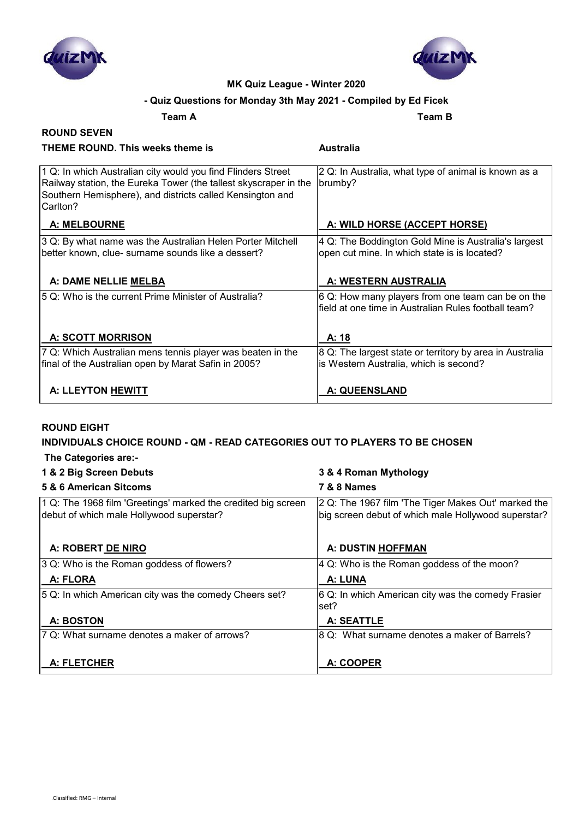



#### **- Quiz Questions for Monday 3th May 2021 - Compiled by Ed Ficek**

**Team A Team B**

**THEME ROUND. This weeks theme is Australia**

### **ROUND SEVEN**

| 1 Q: In which Australian city would you find Flinders Street<br>Railway station, the Eureka Tower (the tallest skyscraper in the<br>Southern Hemisphere), and districts called Kensington and<br>Carlton? | 2 Q: In Australia, what type of animal is known as a<br>brumby?                                           |
|-----------------------------------------------------------------------------------------------------------------------------------------------------------------------------------------------------------|-----------------------------------------------------------------------------------------------------------|
| <b>A: MELBOURNE</b>                                                                                                                                                                                       | A: WILD HORSE (ACCEPT HORSE)                                                                              |
| 3 Q: By what name was the Australian Helen Porter Mitchell<br>better known, clue- surname sounds like a dessert?                                                                                          | 4 Q: The Boddington Gold Mine is Australia's largest<br>open cut mine. In which state is is located?      |
| A: DAME NELLIE MELBA                                                                                                                                                                                      | A: WESTERN AUSTRALIA                                                                                      |
| 5 Q: Who is the current Prime Minister of Australia?                                                                                                                                                      | 6 Q: How many players from one team can be on the<br>field at one time in Australian Rules football team? |
| <b>A: SCOTT MORRISON</b>                                                                                                                                                                                  | A: 18                                                                                                     |
| 7 Q: Which Australian mens tennis player was beaten in the<br>final of the Australian open by Marat Safin in 2005?                                                                                        | 8 Q: The largest state or territory by area in Australia<br>is Western Australia, which is second?        |
| A: LLEYTON HEWITT                                                                                                                                                                                         | <b>A: QUEENSLAND</b>                                                                                      |

#### **ROUND EIGHT**

# **INDIVIDUALS CHOICE ROUND - QM - READ CATEGORIES OUT TO PLAYERS TO BE CHOSEN**

|  | The Categories are:- |  |  |
|--|----------------------|--|--|
|--|----------------------|--|--|

## **1 & 2 Big Screen Debuts 3 & 4 Roman Mythology 5 & 6 American Sitcoms 7 & 8 Names** 1 Q: The 1968 film 'Greetings' marked the credited big screen debut of which male Hollywood superstar? 2 Q: The 1967 film 'The Tiger Makes Out' marked the big screen debut of which male Hollywood superstar? A: ROBERT DE NIRO **A: ROBERT DE NIRO A: DUSTIN HOFFMAN** 3 Q: Who is the Roman goddess of flowers?  $4$  Q: Who is the Roman goddess of the moon? A: FLORA **A: FLORA** A: LUNA 5 Q: In which American city was the comedy Cheers set? 6 Q: In which American city was the comedy Frasier set?  **A: BOSTON A: SEATTLE**  $\overline{7}$  Q: What surname denotes a maker of arrows?  $\overline{8}$  Q: What surname denotes a maker of Barrels?  **A: FLETCHER A: COOPER**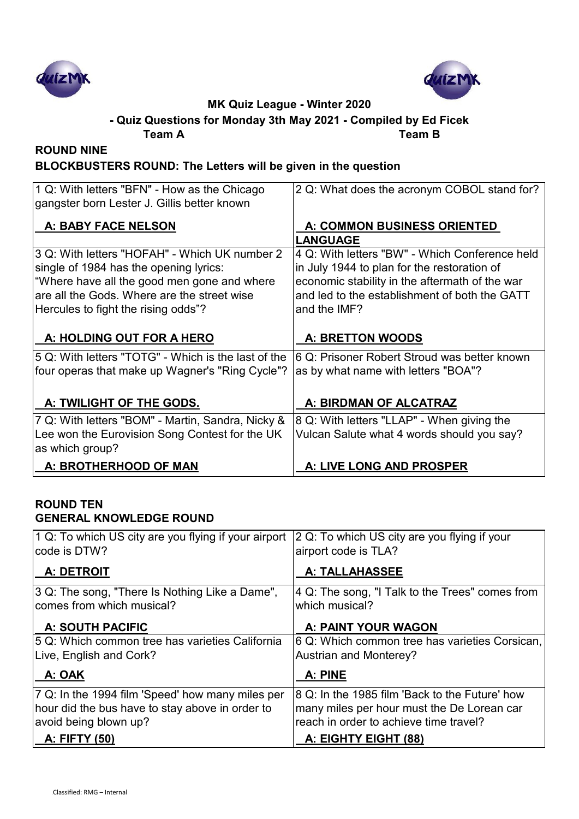



**Team A Team B - Quiz Questions for Monday 3th May 2021 - Compiled by Ed Ficek**

**ROUND NINE**

# **BLOCKBUSTERS ROUND: The Letters will be given in the question**

| A: TWILIGHT OF THE GODS.<br>7 Q: With letters "BOM" - Martin, Sandra, Nicky &<br>Lee won the Eurovision Song Contest for the UK<br>as which group? | A: BIRDMAN OF ALCATRAZ<br>8 Q: With letters "LLAP" - When giving the<br>Vulcan Salute what 4 words should you say? |
|----------------------------------------------------------------------------------------------------------------------------------------------------|--------------------------------------------------------------------------------------------------------------------|
|                                                                                                                                                    |                                                                                                                    |
|                                                                                                                                                    |                                                                                                                    |
|                                                                                                                                                    |                                                                                                                    |
| four operas that make up Wagner's "Ring Cycle"?                                                                                                    | as by what name with letters "BOA"?                                                                                |
| 5 Q: With letters "TOTG" - Which is the last of the                                                                                                | 6 Q: Prisoner Robert Stroud was better known                                                                       |
| A: HOLDING OUT FOR A HERO                                                                                                                          | <b>A: BRETTON WOODS</b>                                                                                            |
| Hercules to fight the rising odds"?                                                                                                                | and the IMF?                                                                                                       |
| are all the Gods. Where are the street wise                                                                                                        | and led to the establishment of both the GATT                                                                      |
| "Where have all the good men gone and where                                                                                                        | economic stability in the aftermath of the war                                                                     |
| single of 1984 has the opening lyrics:                                                                                                             | in July 1944 to plan for the restoration of                                                                        |
| 3 Q: With letters "HOFAH" - Which UK number 2                                                                                                      | 4 Q: With letters "BW" - Which Conference held                                                                     |
| A: BABY FACE NELSON                                                                                                                                | A: COMMON BUSINESS ORIENTED<br><b>LANGUAGE</b>                                                                     |
| gangster born Lester J. Gillis better known                                                                                                        |                                                                                                                    |
|                                                                                                                                                    | 2 Q: What does the acronym COBOL stand for?                                                                        |

### **ROUND TEN GENERAL KNOWLEDGE ROUND**

| 1 Q: To which US city are you flying if your airport | 2 Q: To which US city are you flying if your    |
|------------------------------------------------------|-------------------------------------------------|
| code is DTW?                                         | airport code is TLA?                            |
| <b>A: DETROIT</b>                                    | <b>A: TALLAHASSEE</b>                           |
| 3 Q: The song, "There Is Nothing Like a Dame",       | 4 Q: The song, "I Talk to the Trees" comes from |
| comes from which musical?                            | which musical?                                  |
| <b>A: SOUTH PACIFIC</b>                              | A: PAINT YOUR WAGON                             |
| 5 Q: Which common tree has varieties California      | 6 Q: Which common tree has varieties Corsican,  |
| Live, English and Cork?                              | <b>Austrian and Monterey?</b>                   |
| A: OAK                                               | A: PINE                                         |
| 7 Q: In the 1994 film 'Speed' how many miles per     | 8 Q: In the 1985 film 'Back to the Future' how  |
| hour did the bus have to stay above in order to      | many miles per hour must the De Lorean car      |
| avoid being blown up?                                | reach in order to achieve time travel?          |
| <u>A: FIFTY (50)</u>                                 | A: EIGHTY EIGHT (88)                            |